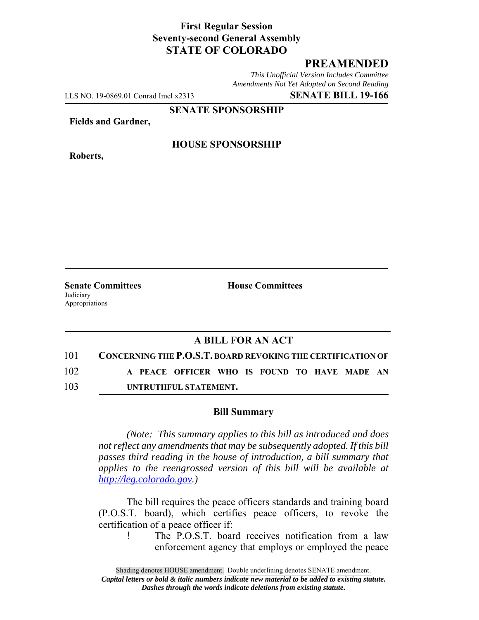### **First Regular Session Seventy-second General Assembly STATE OF COLORADO**

# **PREAMENDED**

*This Unofficial Version Includes Committee Amendments Not Yet Adopted on Second Reading*

LLS NO. 19-0869.01 Conrad Imel x2313 **SENATE BILL 19-166**

**SENATE SPONSORSHIP**

**Fields and Gardner,**

**Roberts,**

#### **HOUSE SPONSORSHIP**

**Senate Committees House Committees Judiciary** Appropriations

# **A BILL FOR AN ACT**

101 **CONCERNING THE P.O.S.T. BOARD REVOKING THE CERTIFICATION OF**

102 **A PEACE OFFICER WHO IS FOUND TO HAVE MADE AN**

103 **UNTRUTHFUL STATEMENT.**

#### **Bill Summary**

*(Note: This summary applies to this bill as introduced and does not reflect any amendments that may be subsequently adopted. If this bill passes third reading in the house of introduction, a bill summary that applies to the reengrossed version of this bill will be available at http://leg.colorado.gov.)*

The bill requires the peace officers standards and training board (P.O.S.T. board), which certifies peace officers, to revoke the certification of a peace officer if:

! The P.O.S.T. board receives notification from a law enforcement agency that employs or employed the peace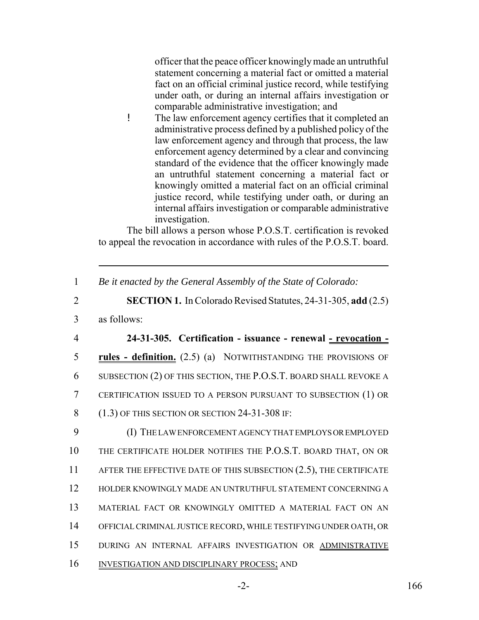officer that the peace officer knowingly made an untruthful statement concerning a material fact or omitted a material fact on an official criminal justice record, while testifying under oath, or during an internal affairs investigation or comparable administrative investigation; and

! The law enforcement agency certifies that it completed an administrative process defined by a published policy of the law enforcement agency and through that process, the law enforcement agency determined by a clear and convincing standard of the evidence that the officer knowingly made an untruthful statement concerning a material fact or knowingly omitted a material fact on an official criminal justice record, while testifying under oath, or during an internal affairs investigation or comparable administrative investigation.

The bill allows a person whose P.O.S.T. certification is revoked to appeal the revocation in accordance with rules of the P.O.S.T. board.

1 *Be it enacted by the General Assembly of the State of Colorado:*

2 **SECTION 1.** In Colorado Revised Statutes, 24-31-305, **add** (2.5)

3 as follows:

 **24-31-305. Certification - issuance - renewal - revocation - rules - definition.** (2.5) (a) NOTWITHSTANDING THE PROVISIONS OF SUBSECTION (2) OF THIS SECTION, THE P.O.S.T. BOARD SHALL REVOKE A CERTIFICATION ISSUED TO A PERSON PURSUANT TO SUBSECTION (1) OR (1.3) OF THIS SECTION OR SECTION 24-31-308 IF:

 (I) THE LAW ENFORCEMENT AGENCY THAT EMPLOYS OR EMPLOYED THE CERTIFICATE HOLDER NOTIFIES THE P.O.S.T. BOARD THAT, ON OR 11 AFTER THE EFFECTIVE DATE OF THIS SUBSECTION (2.5), THE CERTIFICATE HOLDER KNOWINGLY MADE AN UNTRUTHFUL STATEMENT CONCERNING A MATERIAL FACT OR KNOWINGLY OMITTED A MATERIAL FACT ON AN OFFICIAL CRIMINAL JUSTICE RECORD, WHILE TESTIFYING UNDER OATH, OR DURING AN INTERNAL AFFAIRS INVESTIGATION OR ADMINISTRATIVE 16 INVESTIGATION AND DISCIPLINARY PROCESS; AND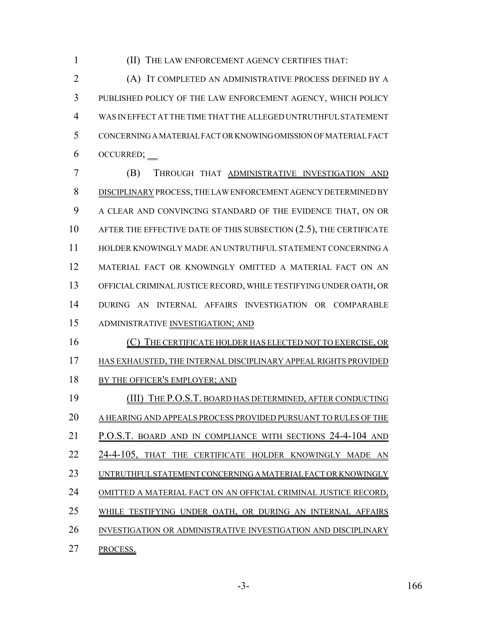(II) THE LAW ENFORCEMENT AGENCY CERTIFIES THAT:

 (A) IT COMPLETED AN ADMINISTRATIVE PROCESS DEFINED BY A PUBLISHED POLICY OF THE LAW ENFORCEMENT AGENCY, WHICH POLICY WAS IN EFFECT AT THE TIME THAT THE ALLEGED UNTRUTHFUL STATEMENT CONCERNING A MATERIAL FACT OR KNOWING OMISSION OF MATERIAL FACT OCCURRED;

 (B) THROUGH THAT ADMINISTRATIVE INVESTIGATION AND DISCIPLINARY PROCESS, THE LAW ENFORCEMENT AGENCY DETERMINED BY A CLEAR AND CONVINCING STANDARD OF THE EVIDENCE THAT, ON OR 10 AFTER THE EFFECTIVE DATE OF THIS SUBSECTION (2.5), THE CERTIFICATE HOLDER KNOWINGLY MADE AN UNTRUTHFUL STATEMENT CONCERNING A MATERIAL FACT OR KNOWINGLY OMITTED A MATERIAL FACT ON AN OFFICIAL CRIMINAL JUSTICE RECORD, WHILE TESTIFYING UNDER OATH, OR DURING AN INTERNAL AFFAIRS INVESTIGATION OR COMPARABLE ADMINISTRATIVE INVESTIGATION; AND

 (C) THE CERTIFICATE HOLDER HAS ELECTED NOT TO EXERCISE, OR HAS EXHAUSTED, THE INTERNAL DISCIPLINARY APPEAL RIGHTS PROVIDED 18 BY THE OFFICER'S EMPLOYER; AND

19 (III) THE P.O.S.T. BOARD HAS DETERMINED, AFTER CONDUCTING A HEARING AND APPEALS PROCESS PROVIDED PURSUANT TO RULES OF THE

P.O.S.T. BOARD AND IN COMPLIANCE WITH SECTIONS 24-4-104 AND

22 24-4-105, THAT THE CERTIFICATE HOLDER KNOWINGLY MADE AN

UNTRUTHFUL STATEMENT CONCERNING A MATERIAL FACT OR KNOWINGLY

OMITTED A MATERIAL FACT ON AN OFFICIAL CRIMINAL JUSTICE RECORD,

25 WHILE TESTIFYING UNDER OATH, OR DURING AN INTERNAL AFFAIRS

INVESTIGATION OR ADMINISTRATIVE INVESTIGATION AND DISCIPLINARY

PROCESS.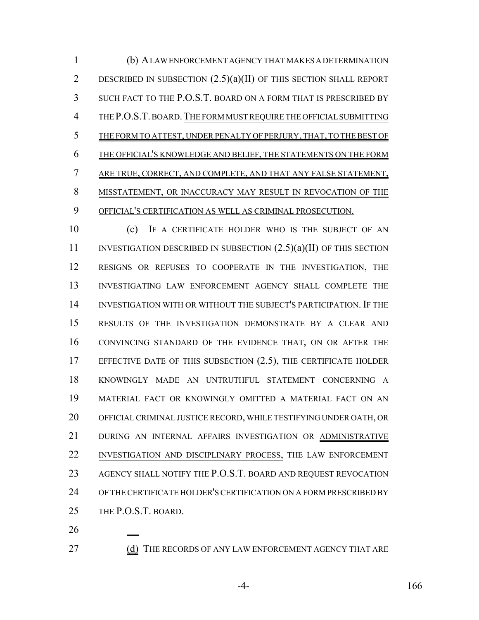(b) A LAW ENFORCEMENT AGENCY THAT MAKES A DETERMINATION 2 DESCRIBED IN SUBSECTION  $(2.5)(a)(II)$  OF THIS SECTION SHALL REPORT SUCH FACT TO THE P.O.S.T. BOARD ON A FORM THAT IS PRESCRIBED BY THE P.O.S.T. BOARD.THE FORM MUST REQUIRE THE OFFICIAL SUBMITTING THE FORM TO ATTEST, UNDER PENALTY OF PERJURY, THAT, TO THE BEST OF THE OFFICIAL'S KNOWLEDGE AND BELIEF, THE STATEMENTS ON THE FORM ARE TRUE, CORRECT, AND COMPLETE, AND THAT ANY FALSE STATEMENT, MISSTATEMENT, OR INACCURACY MAY RESULT IN REVOCATION OF THE OFFICIAL'S CERTIFICATION AS WELL AS CRIMINAL PROSECUTION.

 (c) IF A CERTIFICATE HOLDER WHO IS THE SUBJECT OF AN 11 INVESTIGATION DESCRIBED IN SUBSECTION  $(2.5)(a)(II)$  OF THIS SECTION RESIGNS OR REFUSES TO COOPERATE IN THE INVESTIGATION, THE INVESTIGATING LAW ENFORCEMENT AGENCY SHALL COMPLETE THE INVESTIGATION WITH OR WITHOUT THE SUBJECT'S PARTICIPATION. IF THE RESULTS OF THE INVESTIGATION DEMONSTRATE BY A CLEAR AND CONVINCING STANDARD OF THE EVIDENCE THAT, ON OR AFTER THE 17 EFFECTIVE DATE OF THIS SUBSECTION (2.5), THE CERTIFICATE HOLDER KNOWINGLY MADE AN UNTRUTHFUL STATEMENT CONCERNING A MATERIAL FACT OR KNOWINGLY OMITTED A MATERIAL FACT ON AN OFFICIAL CRIMINAL JUSTICE RECORD, WHILE TESTIFYING UNDER OATH, OR DURING AN INTERNAL AFFAIRS INVESTIGATION OR ADMINISTRATIVE 22 INVESTIGATION AND DISCIPLINARY PROCESS, THE LAW ENFORCEMENT AGENCY SHALL NOTIFY THE P.O.S.T. BOARD AND REQUEST REVOCATION OF THE CERTIFICATE HOLDER'S CERTIFICATION ON A FORM PRESCRIBED BY THE P.O.S.T. BOARD.

27 (d) THE RECORDS OF ANY LAW ENFORCEMENT AGENCY THAT ARE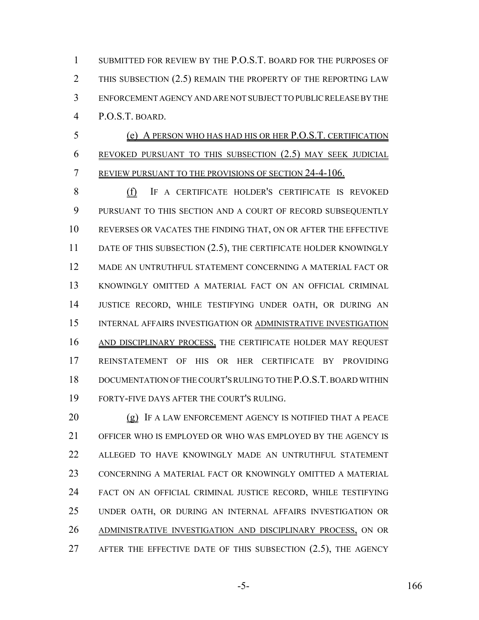SUBMITTED FOR REVIEW BY THE P.O.S.T. BOARD FOR THE PURPOSES OF 2 THIS SUBSECTION (2.5) REMAIN THE PROPERTY OF THE REPORTING LAW ENFORCEMENT AGENCY AND ARE NOT SUBJECT TO PUBLIC RELEASE BY THE P.O.S.T. BOARD.

 (e) A PERSON WHO HAS HAD HIS OR HER P.O.S.T. CERTIFICATION REVOKED PURSUANT TO THIS SUBSECTION (2.5) MAY SEEK JUDICIAL REVIEW PURSUANT TO THE PROVISIONS OF SECTION 24-4-106.

 (f) IF A CERTIFICATE HOLDER'S CERTIFICATE IS REVOKED PURSUANT TO THIS SECTION AND A COURT OF RECORD SUBSEQUENTLY REVERSES OR VACATES THE FINDING THAT, ON OR AFTER THE EFFECTIVE 11 DATE OF THIS SUBSECTION (2.5), THE CERTIFICATE HOLDER KNOWINGLY MADE AN UNTRUTHFUL STATEMENT CONCERNING A MATERIAL FACT OR KNOWINGLY OMITTED A MATERIAL FACT ON AN OFFICIAL CRIMINAL JUSTICE RECORD, WHILE TESTIFYING UNDER OATH, OR DURING AN INTERNAL AFFAIRS INVESTIGATION OR ADMINISTRATIVE INVESTIGATION AND DISCIPLINARY PROCESS, THE CERTIFICATE HOLDER MAY REQUEST REINSTATEMENT OF HIS OR HER CERTIFICATE BY PROVIDING DOCUMENTATION OF THE COURT'S RULING TO THE P.O.S.T. BOARD WITHIN FORTY-FIVE DAYS AFTER THE COURT'S RULING.

20 (g) IF A LAW ENFORCEMENT AGENCY IS NOTIFIED THAT A PEACE OFFICER WHO IS EMPLOYED OR WHO WAS EMPLOYED BY THE AGENCY IS ALLEGED TO HAVE KNOWINGLY MADE AN UNTRUTHFUL STATEMENT CONCERNING A MATERIAL FACT OR KNOWINGLY OMITTED A MATERIAL FACT ON AN OFFICIAL CRIMINAL JUSTICE RECORD, WHILE TESTIFYING UNDER OATH, OR DURING AN INTERNAL AFFAIRS INVESTIGATION OR ADMINISTRATIVE INVESTIGATION AND DISCIPLINARY PROCESS, ON OR AFTER THE EFFECTIVE DATE OF THIS SUBSECTION (2.5), THE AGENCY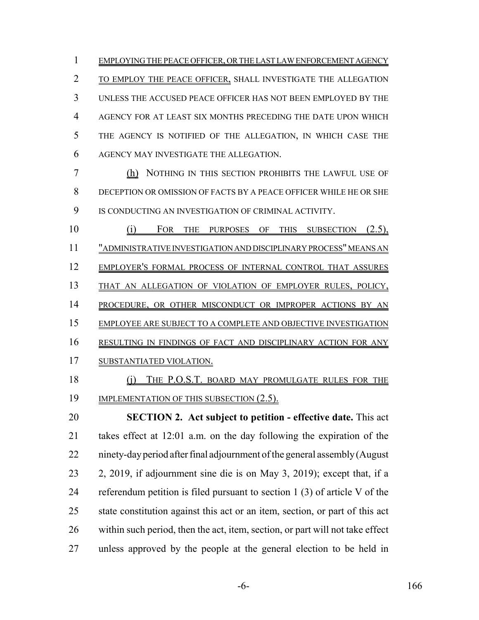EMPLOYING THE PEACE OFFICER, OR THE LAST LAW ENFORCEMENT AGENCY TO EMPLOY THE PEACE OFFICER, SHALL INVESTIGATE THE ALLEGATION UNLESS THE ACCUSED PEACE OFFICER HAS NOT BEEN EMPLOYED BY THE AGENCY FOR AT LEAST SIX MONTHS PRECEDING THE DATE UPON WHICH THE AGENCY IS NOTIFIED OF THE ALLEGATION, IN WHICH CASE THE AGENCY MAY INVESTIGATE THE ALLEGATION.

 (h) NOTHING IN THIS SECTION PROHIBITS THE LAWFUL USE OF DECEPTION OR OMISSION OF FACTS BY A PEACE OFFICER WHILE HE OR SHE IS CONDUCTING AN INVESTIGATION OF CRIMINAL ACTIVITY.

 (i) FOR THE PURPOSES OF THIS SUBSECTION (2.5), "ADMINISTRATIVE INVESTIGATION AND DISCIPLINARY PROCESS" MEANS AN EMPLOYER'S FORMAL PROCESS OF INTERNAL CONTROL THAT ASSURES THAT AN ALLEGATION OF VIOLATION OF EMPLOYER RULES, POLICY, 14 PROCEDURE, OR OTHER MISCONDUCT OR IMPROPER ACTIONS BY AN EMPLOYEE ARE SUBJECT TO A COMPLETE AND OBJECTIVE INVESTIGATION RESULTING IN FINDINGS OF FACT AND DISCIPLINARY ACTION FOR ANY SUBSTANTIATED VIOLATION.

18 (j) THE P.O.S.T. BOARD MAY PROMULGATE RULES FOR THE 19 IMPLEMENTATION OF THIS SUBSECTION (2.5).

 **SECTION 2. Act subject to petition - effective date.** This act takes effect at 12:01 a.m. on the day following the expiration of the ninety-day period after final adjournment of the general assembly (August 2, 2019, if adjournment sine die is on May 3, 2019); except that, if a referendum petition is filed pursuant to section 1 (3) of article V of the state constitution against this act or an item, section, or part of this act within such period, then the act, item, section, or part will not take effect unless approved by the people at the general election to be held in